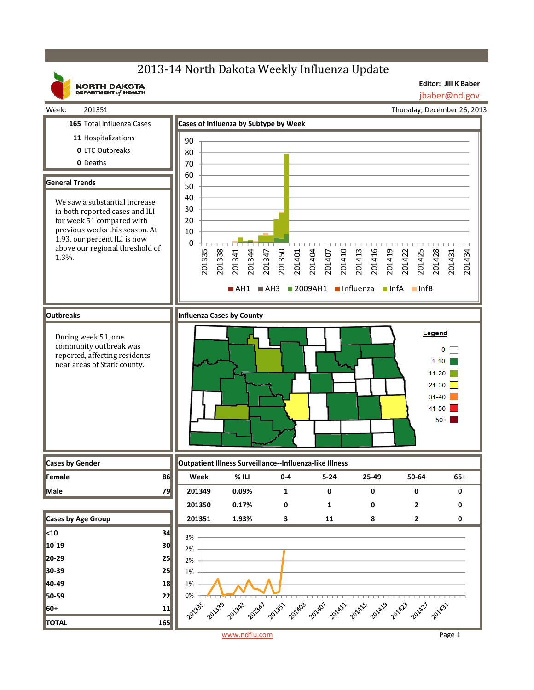# 2013-14 North Dakota Weekly Influenza Update

**Editor: Jill K Baber**